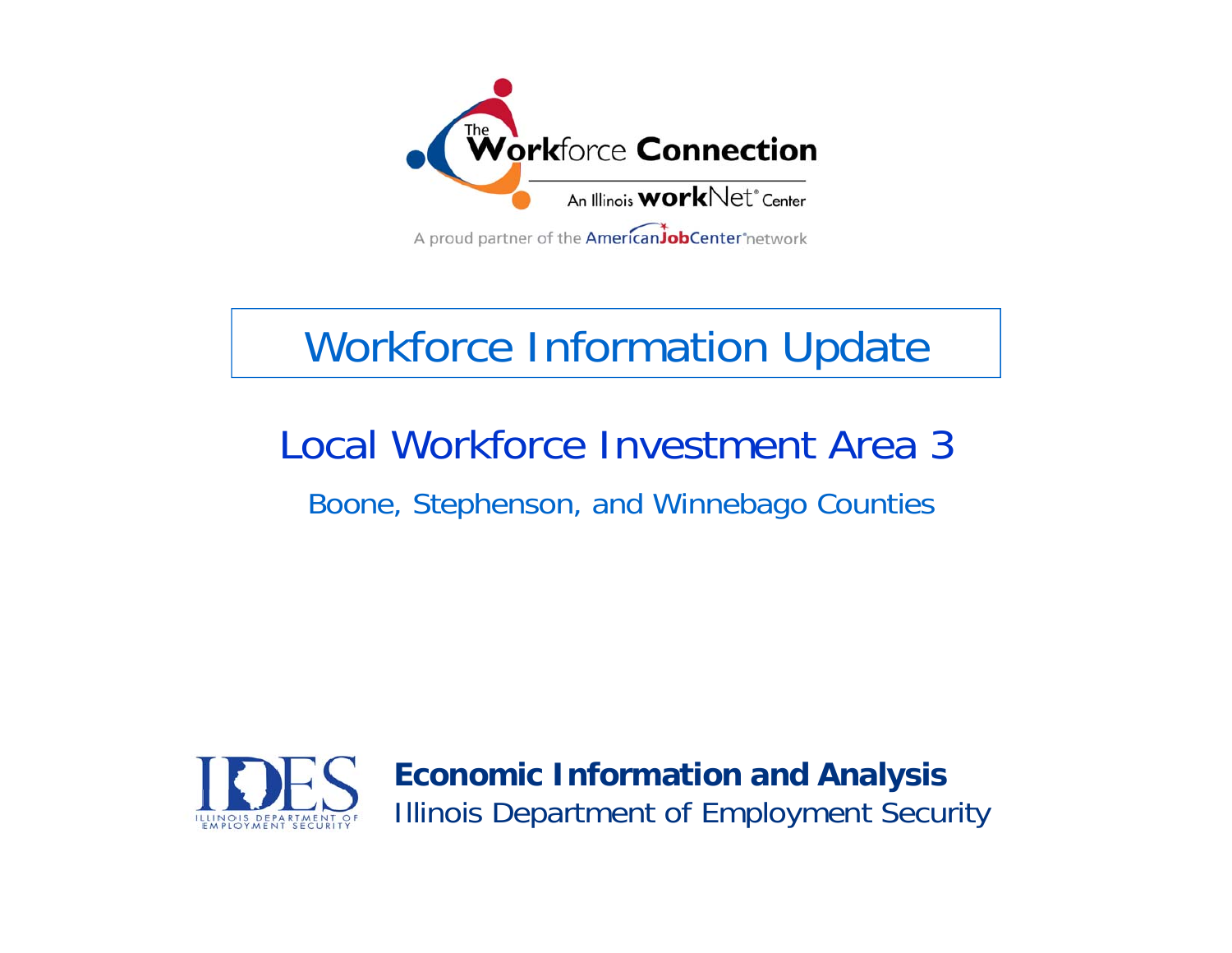

# Workforce Information Update

## Local Workforce Investment Area 3 Boone, Stephenson, and Winnebago Counties

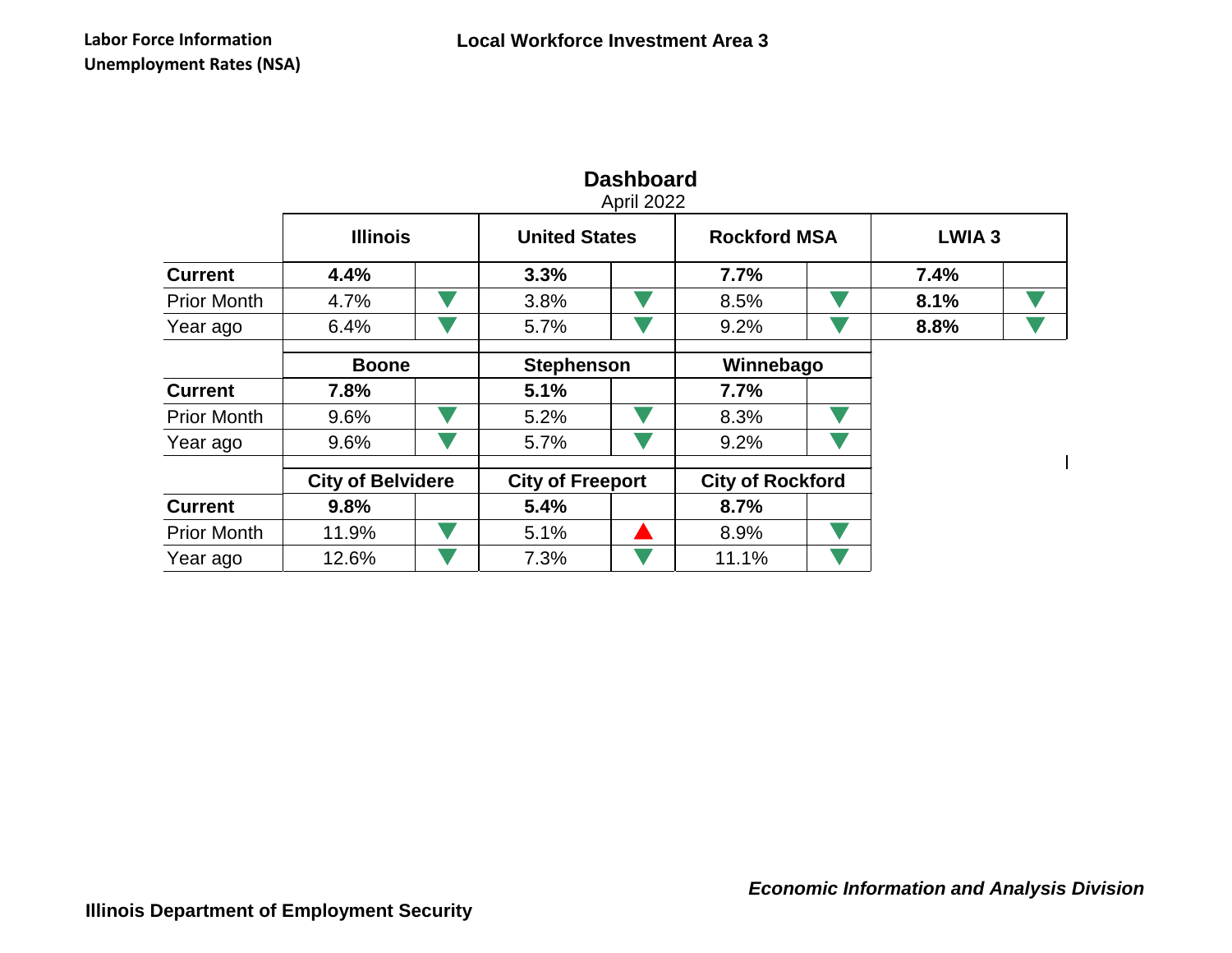|                    | April 2022               |  |                         |  |                         |  |              |  |  |  |  |
|--------------------|--------------------------|--|-------------------------|--|-------------------------|--|--------------|--|--|--|--|
|                    | <b>Illinois</b>          |  | <b>United States</b>    |  | <b>Rockford MSA</b>     |  | <b>LWIA3</b> |  |  |  |  |
| <b>Current</b>     | 4.4%                     |  | 3.3%                    |  | 7.7%                    |  | 7.4%         |  |  |  |  |
| <b>Prior Month</b> | 4.7%                     |  | 3.8%                    |  | 8.5%                    |  | 8.1%         |  |  |  |  |
| Year ago           | 6.4%                     |  | 5.7%                    |  | 9.2%                    |  | 8.8%         |  |  |  |  |
|                    | <b>Boone</b>             |  | <b>Stephenson</b>       |  | Winnebago               |  |              |  |  |  |  |
| <b>Current</b>     | 7.8%                     |  | 5.1%                    |  | 7.7%                    |  |              |  |  |  |  |
| <b>Prior Month</b> | 9.6%                     |  | 5.2%                    |  | 8.3%                    |  |              |  |  |  |  |
| Year ago           | 9.6%                     |  | 5.7%                    |  | 9.2%                    |  |              |  |  |  |  |
|                    | <b>City of Belvidere</b> |  | <b>City of Freeport</b> |  | <b>City of Rockford</b> |  |              |  |  |  |  |
| <b>Current</b>     | 9.8%                     |  | 5.4%                    |  | 8.7%                    |  |              |  |  |  |  |
| <b>Prior Month</b> | 11.9%                    |  | 5.1%                    |  | 8.9%                    |  |              |  |  |  |  |
| Year ago           | 12.6%                    |  | 7.3%                    |  | 11.1%                   |  |              |  |  |  |  |

### **Dashboard**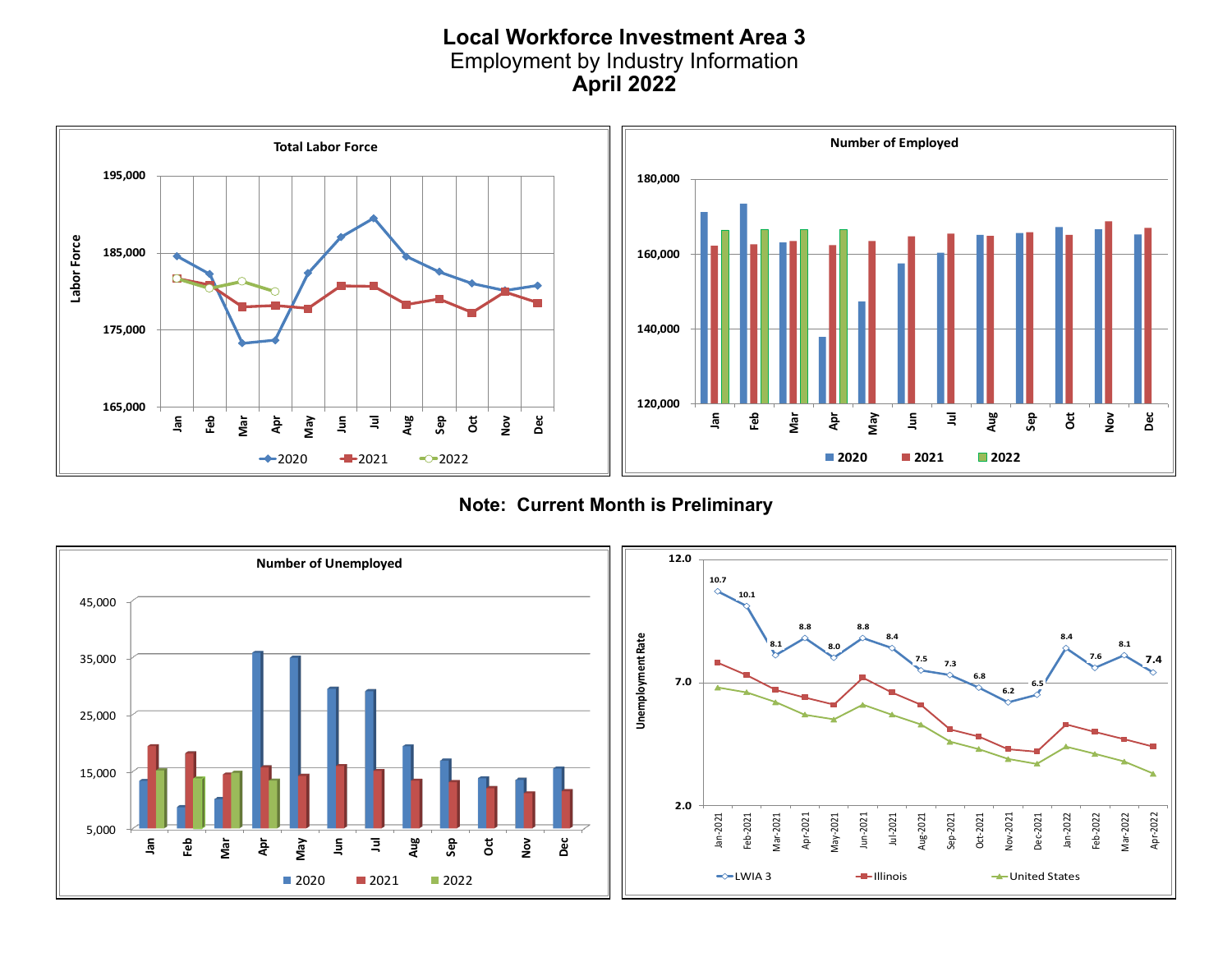#### **Local Workforce Investment Area 3** Employment by Industry Information **December 2019 April 2022**



**Note: Current Month is Preliminary**

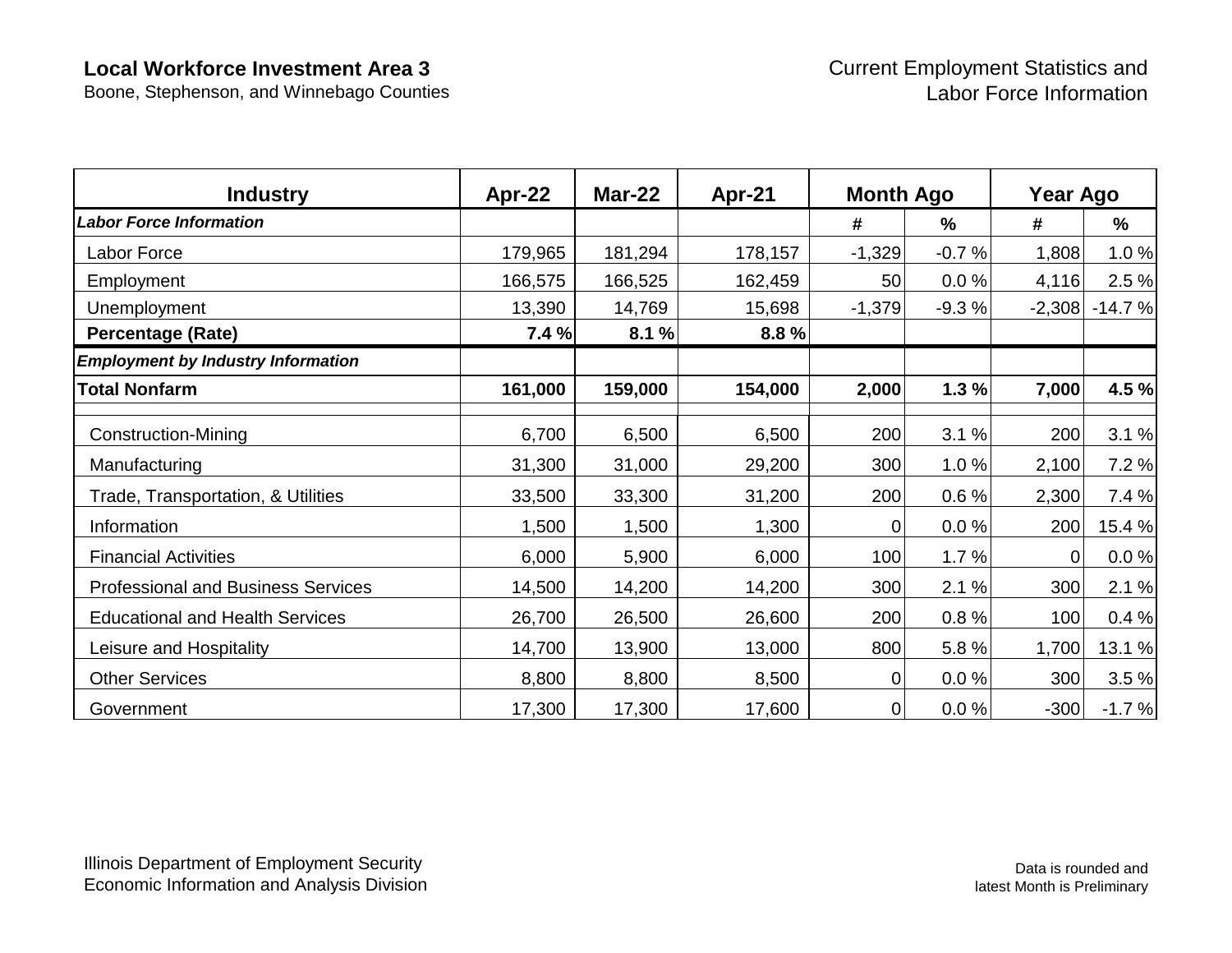Boone, Stephenson, and Winnebago Counties

| <b>Industry</b>                           | Apr-22  | <b>Mar-22</b> | Apr-21  | <b>Month Ago</b> |               | Year Ago |               |
|-------------------------------------------|---------|---------------|---------|------------------|---------------|----------|---------------|
| <b>Labor Force Information</b>            |         |               |         | #                | $\frac{9}{6}$ | #        | $\frac{0}{0}$ |
| Labor Force                               | 179,965 | 181,294       | 178,157 | $-1,329$         | $-0.7%$       | 1,808    | 1.0%          |
| Employment                                | 166,575 | 166,525       | 162,459 | 50               | 0.0%          | 4,116    | 2.5 %         |
| Unemployment                              | 13,390  | 14,769        | 15,698  | $-1,379$         | $-9.3%$       | $-2,308$ | $-14.7%$      |
| <b>Percentage (Rate)</b>                  | 7.4%    | 8.1%          | 8.8%    |                  |               |          |               |
| <b>Employment by Industry Information</b> |         |               |         |                  |               |          |               |
| <b>Total Nonfarm</b>                      | 161,000 | 159,000       | 154,000 | 2,000            | 1.3%          | 7,000    | 4.5 %         |
| <b>Construction-Mining</b>                | 6,700   | 6,500         | 6,500   | 200              | 3.1%          | 200      | 3.1%          |
| Manufacturing                             | 31,300  | 31,000        | 29,200  | 300              | 1.0%          | 2,100    | 7.2 %         |
| Trade, Transportation, & Utilities        | 33,500  | 33,300        | 31,200  | 200              | 0.6%          | 2,300    | 7.4 %         |
| Information                               | 1,500   | 1,500         | 1,300   | 0                | 0.0%          | 200      | 15.4 %        |
| <b>Financial Activities</b>               | 6,000   | 5,900         | 6,000   | 100              | 1.7%          |          | $0.0 \%$      |
| <b>Professional and Business Services</b> | 14,500  | 14,200        | 14,200  | 300              | 2.1%          | 300      | 2.1%          |
| <b>Educational and Health Services</b>    | 26,700  | 26,500        | 26,600  | 200              | 0.8%          | 100      | 0.4%          |
| Leisure and Hospitality                   | 14,700  | 13,900        | 13,000  | 800              | 5.8%          | 1,700    | 13.1 %        |
| <b>Other Services</b>                     | 8,800   | 8,800         | 8,500   | $\overline{0}$   | 0.0%          | 300      | 3.5%          |
| Government                                | 17,300  | 17,300        | 17,600  | $\mathbf 0$      | 0.0%          | $-300$   | $-1.7%$       |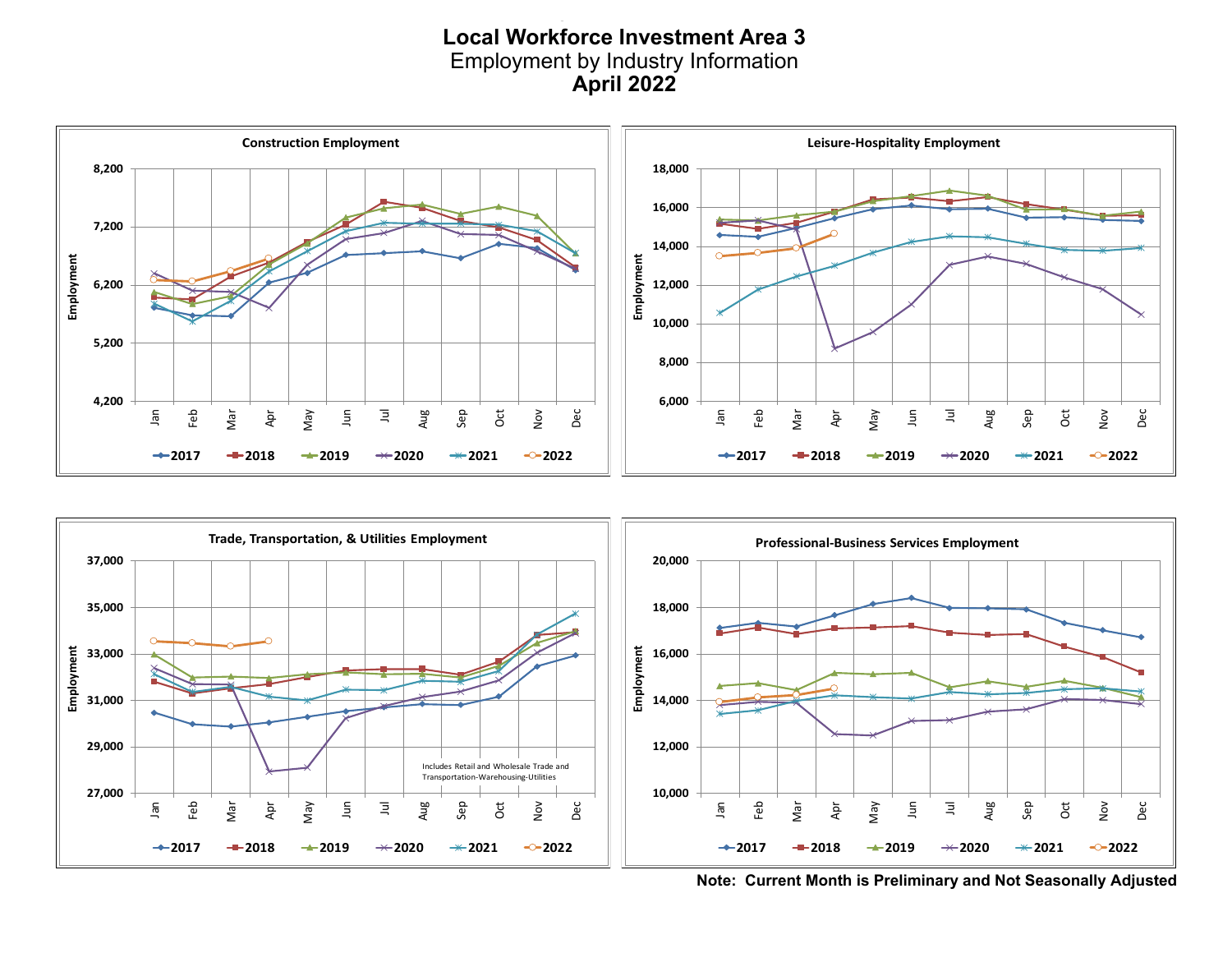#### **Local Workforce Investment Area 3 Local Workforce Investment Area 3** Employment by Industry Information Employment by Industry Information **December 2019 April 2022**





**Note: Current Month is Preliminary and Not Seasonally Adjusted**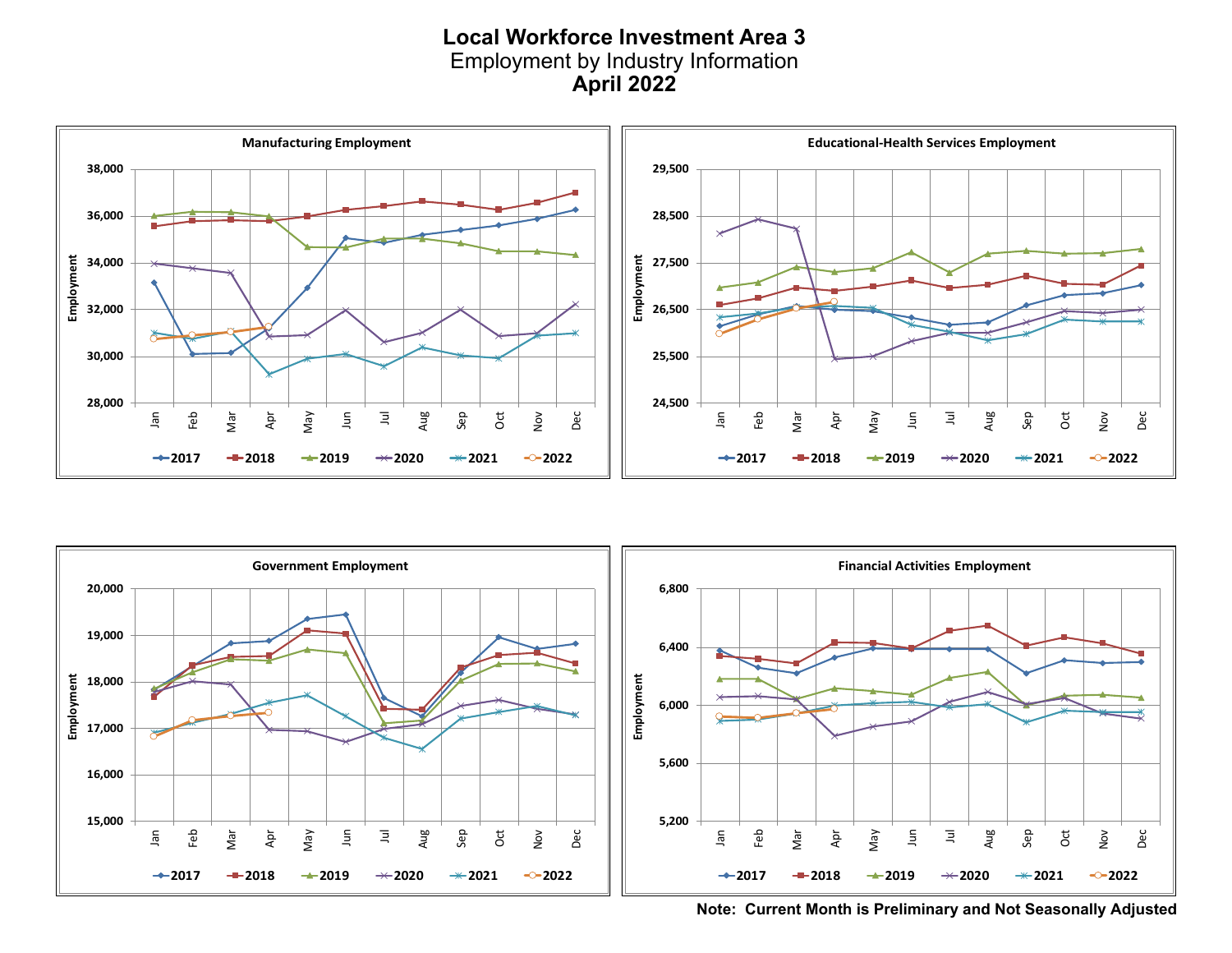#### **Local Workforce Investment Area 3** Employment by Industry Information **April 2022**





**Note: Current Month is Preliminary and Not Seasonally Adjusted**